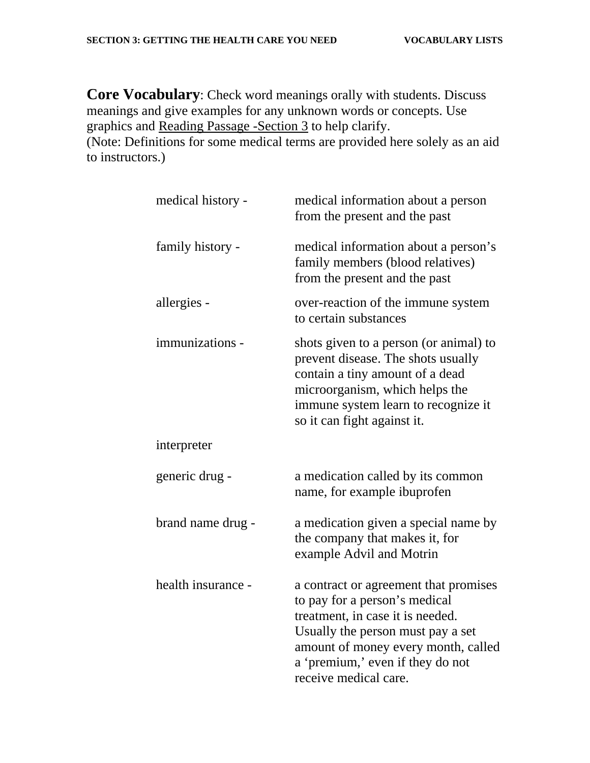**Core Vocabulary**: Check word meanings orally with students. Discuss meanings and give examples for any unknown words or concepts. Use graphics and Reading Passage -Section 3 to help clarify.

(Note: Definitions for some medical terms are provided here solely as an aid to instructors.)

| medical history -  | medical information about a person<br>from the present and the past                                                                                                                                                                                 |
|--------------------|-----------------------------------------------------------------------------------------------------------------------------------------------------------------------------------------------------------------------------------------------------|
| family history -   | medical information about a person's<br>family members (blood relatives)<br>from the present and the past                                                                                                                                           |
| allergies -        | over-reaction of the immune system<br>to certain substances                                                                                                                                                                                         |
| immunizations -    | shots given to a person (or animal) to<br>prevent disease. The shots usually<br>contain a tiny amount of a dead<br>microorganism, which helps the<br>immune system learn to recognize it<br>so it can fight against it.                             |
| interpreter        |                                                                                                                                                                                                                                                     |
| generic drug -     | a medication called by its common<br>name, for example ibuprofen                                                                                                                                                                                    |
| brand name drug -  | a medication given a special name by<br>the company that makes it, for<br>example Advil and Motrin                                                                                                                                                  |
| health insurance - | a contract or agreement that promises<br>to pay for a person's medical<br>treatment, in case it is needed.<br>Usually the person must pay a set<br>amount of money every month, called<br>a 'premium,' even if they do not<br>receive medical care. |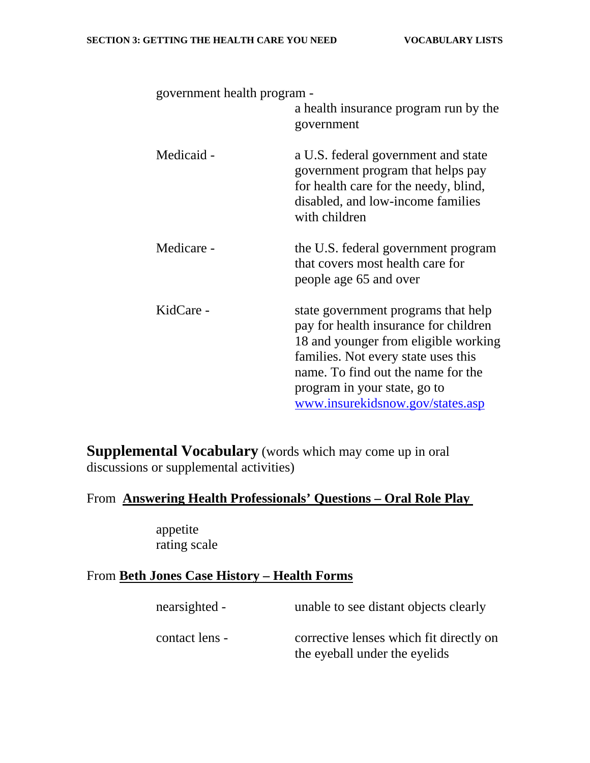| government health program - | a health insurance program run by the<br>government                                                                                                                                                                                                                   |
|-----------------------------|-----------------------------------------------------------------------------------------------------------------------------------------------------------------------------------------------------------------------------------------------------------------------|
| Medicaid -                  | a U.S. federal government and state<br>government program that helps pay<br>for health care for the needy, blind,<br>disabled, and low-income families<br>with children                                                                                               |
| Medicare -                  | the U.S. federal government program<br>that covers most health care for<br>people age 65 and over                                                                                                                                                                     |
| KidCare -                   | state government programs that help<br>pay for health insurance for children<br>18 and younger from eligible working<br>families. Not every state uses this<br>name. To find out the name for the<br>program in your state, go to<br>www.insurekidsnow.gov/states.asp |

**Supplemental Vocabulary** (words which may come up in oral discussions or supplemental activities)

### From **Answering Health Professionals' Questions – Oral Role Play**

appetite rating scale

### From **Beth Jones Case History – Health Forms**

| nearsighted -  | unable to see distant objects clearly                                    |
|----------------|--------------------------------------------------------------------------|
| contact lens - | corrective lenses which fit directly on<br>the eyeball under the eyelids |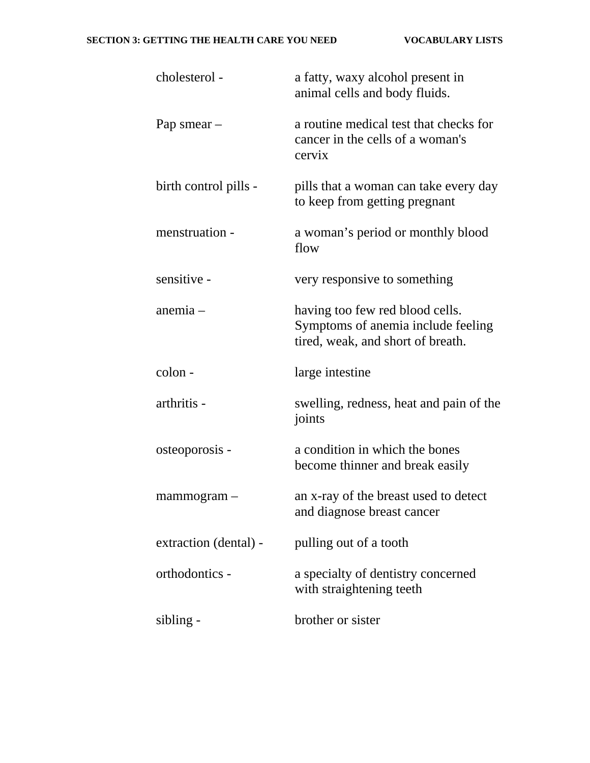| cholesterol -         | a fatty, waxy alcohol present in<br>animal cells and body fluids.                                          |
|-----------------------|------------------------------------------------------------------------------------------------------------|
| Pap smear $-$         | a routine medical test that checks for<br>cancer in the cells of a woman's<br>cervix                       |
| birth control pills - | pills that a woman can take every day<br>to keep from getting pregnant                                     |
| menstruation -        | a woman's period or monthly blood<br>flow                                                                  |
| sensitive -           | very responsive to something                                                                               |
| anemia -              | having too few red blood cells.<br>Symptoms of anemia include feeling<br>tired, weak, and short of breath. |
| colon -               | large intestine                                                                                            |
| arthritis -           | swelling, redness, heat and pain of the<br>joints                                                          |
| osteoporosis -        | a condition in which the bones<br>become thinner and break easily                                          |
| mammogram             | an x-ray of the breast used to detect<br>and diagnose breast cancer                                        |
| extraction (dental) - | pulling out of a tooth                                                                                     |
| orthodontics -        | a specialty of dentistry concerned<br>with straightening teeth                                             |
| sibling -             | brother or sister                                                                                          |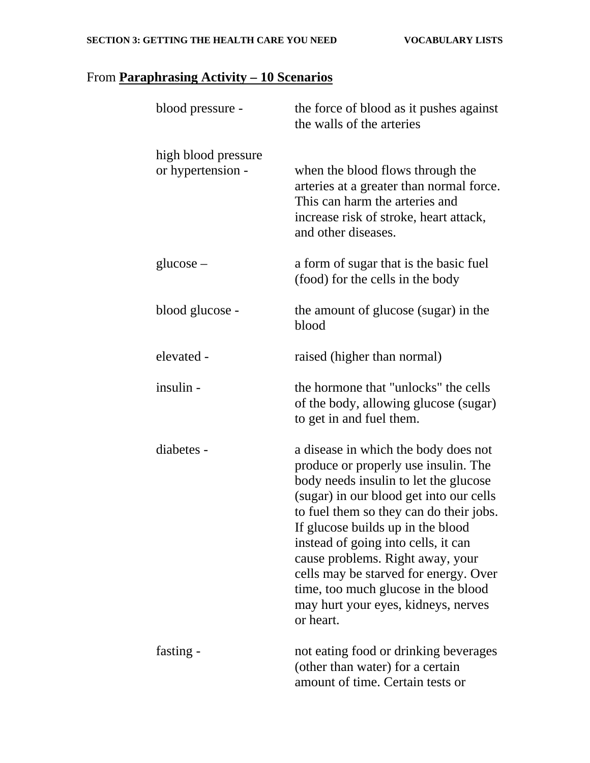# From **Paraphrasing Activity – 10 Scenarios**

| blood pressure -                         | the force of blood as it pushes against<br>the walls of the arteries                                                                                                                                                                                                                                                                                                                                                                                            |
|------------------------------------------|-----------------------------------------------------------------------------------------------------------------------------------------------------------------------------------------------------------------------------------------------------------------------------------------------------------------------------------------------------------------------------------------------------------------------------------------------------------------|
| high blood pressure<br>or hypertension - | when the blood flows through the<br>arteries at a greater than normal force.<br>This can harm the arteries and<br>increase risk of stroke, heart attack,<br>and other diseases.                                                                                                                                                                                                                                                                                 |
| $glucose -$                              | a form of sugar that is the basic fuel<br>(food) for the cells in the body                                                                                                                                                                                                                                                                                                                                                                                      |
| blood glucose -                          | the amount of glucose (sugar) in the<br>blood                                                                                                                                                                                                                                                                                                                                                                                                                   |
| elevated -                               | raised (higher than normal)                                                                                                                                                                                                                                                                                                                                                                                                                                     |
| insulin -                                | the hormone that "unlocks" the cells<br>of the body, allowing glucose (sugar)<br>to get in and fuel them.                                                                                                                                                                                                                                                                                                                                                       |
| diabetes -                               | a disease in which the body does not<br>produce or properly use insulin. The<br>body needs insulin to let the glucose<br>(sugar) in our blood get into our cells<br>to fuel them so they can do their jobs.<br>If glucose builds up in the blood<br>instead of going into cells, it can<br>cause problems. Right away, your<br>cells may be starved for energy. Over<br>time, too much glucose in the blood<br>may hurt your eyes, kidneys, nerves<br>or heart. |
| fasting -                                | not eating food or drinking beverages<br>(other than water) for a certain<br>amount of time. Certain tests or                                                                                                                                                                                                                                                                                                                                                   |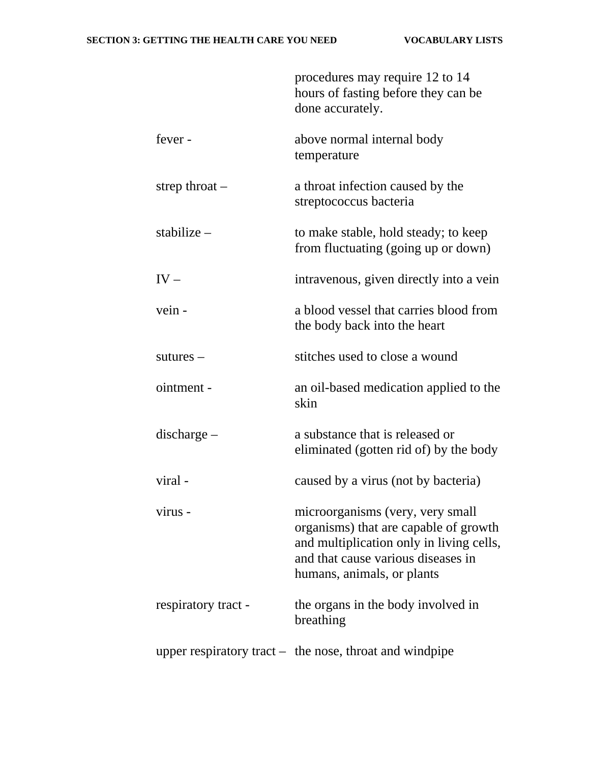|                     | procedures may require 12 to 14<br>hours of fasting before they can be<br>done accurately.                                                                                                |
|---------------------|-------------------------------------------------------------------------------------------------------------------------------------------------------------------------------------------|
| fever -             | above normal internal body<br>temperature                                                                                                                                                 |
| strep throat $-$    | a throat infection caused by the<br>streptococcus bacteria                                                                                                                                |
| stabilize $-$       | to make stable, hold steady; to keep<br>from fluctuating (going up or down)                                                                                                               |
| $IV -$              | intravenous, given directly into a vein                                                                                                                                                   |
| vein -              | a blood vessel that carries blood from<br>the body back into the heart                                                                                                                    |
| $sutures -$         | stitches used to close a wound                                                                                                                                                            |
| ointment -          | an oil-based medication applied to the<br>skin                                                                                                                                            |
| $discharge -$       | a substance that is released or<br>eliminated (gotten rid of) by the body                                                                                                                 |
| viral -             | caused by a virus (not by bacteria)                                                                                                                                                       |
| virus -             | microorganisms (very, very small<br>organisms) that are capable of growth<br>and multiplication only in living cells,<br>and that cause various diseases in<br>humans, animals, or plants |
| respiratory tract - | the organs in the body involved in<br>breathing                                                                                                                                           |
|                     | upper respiratory tract $-$ the nose, throat and windpipe                                                                                                                                 |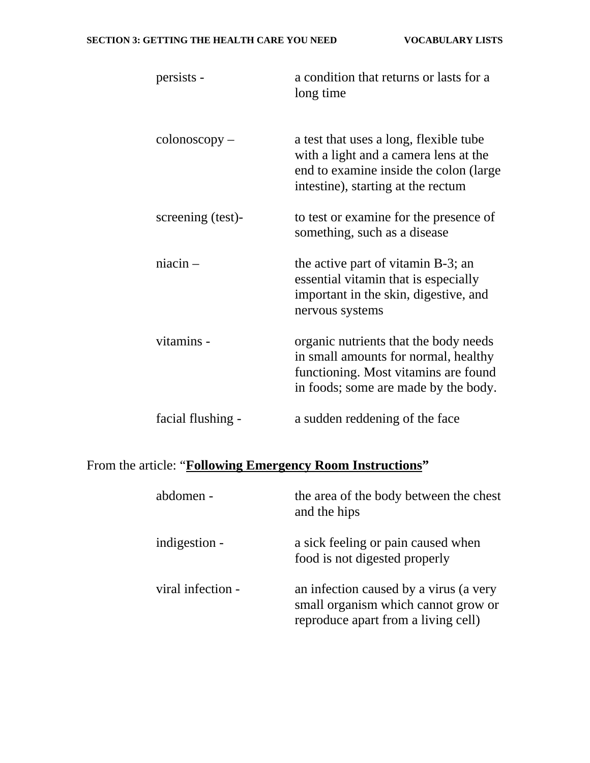#### **SECTION 3: GETTING THE HEALTH CARE YOU NEED VOCABULARY LISTS**

| persists -            | a condition that returns or lasts for a<br>long time                                                                                                            |
|-----------------------|-----------------------------------------------------------------------------------------------------------------------------------------------------------------|
| $\text{colonoscopy}-$ | a test that uses a long, flexible tube<br>with a light and a camera lens at the<br>end to examine inside the colon (large<br>intestine), starting at the rectum |
| screening (test)-     | to test or examine for the presence of<br>something, such as a disease                                                                                          |
| $niacin -$            | the active part of vitamin B-3; an<br>essential vitamin that is especially<br>important in the skin, digestive, and<br>nervous systems                          |
| vitamins -            | organic nutrients that the body needs<br>in small amounts for normal, healthy<br>functioning. Most vitamins are found<br>in foods; some are made by the body.   |
| facial flushing -     | a sudden reddening of the face                                                                                                                                  |

# From the article: "**Following Emergency Room Instructions"**

| abdomen -         | the area of the body between the chest<br>and the hips                                                               |
|-------------------|----------------------------------------------------------------------------------------------------------------------|
| indigestion -     | a sick feeling or pain caused when<br>food is not digested properly                                                  |
| viral infection - | an infection caused by a virus (a very<br>small organism which cannot grow or<br>reproduce apart from a living cell) |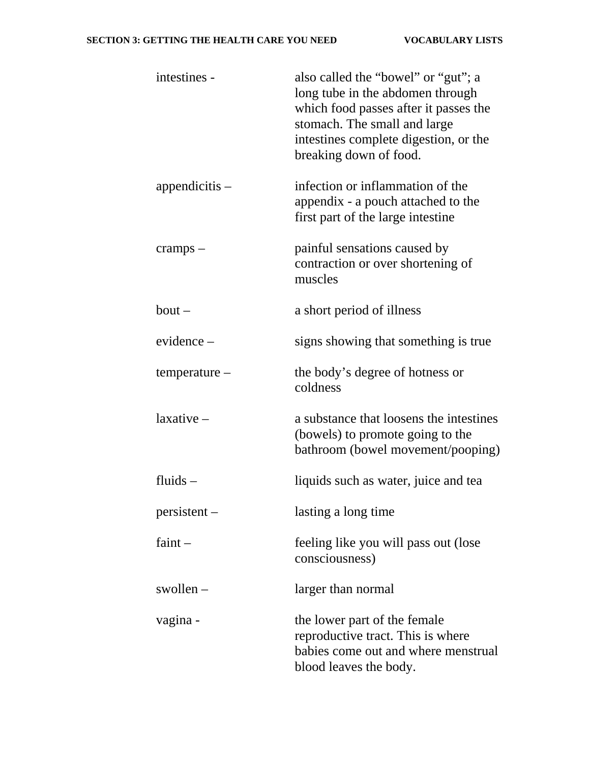| intestines -     | also called the "bowel" or "gut"; a<br>long tube in the abdomen through<br>which food passes after it passes the<br>stomach. The small and large<br>intestines complete digestion, or the<br>breaking down of food. |
|------------------|---------------------------------------------------------------------------------------------------------------------------------------------------------------------------------------------------------------------|
| appendicitis $-$ | infection or inflammation of the<br>appendix - a pouch attached to the<br>first part of the large intestine                                                                                                         |
| $cramps -$       | painful sensations caused by<br>contraction or over shortening of<br>muscles                                                                                                                                        |
| $b$ out $-$      | a short period of illness                                                                                                                                                                                           |
| $evidence -$     | signs showing that something is true.                                                                                                                                                                               |
| temperature -    | the body's degree of hotness or<br>coldness                                                                                                                                                                         |
| $laxative-$      | a substance that loosens the intestines<br>(bowels) to promote going to the<br>bathroom (bowel movement/pooping)                                                                                                    |
| fluids $-$       | liquids such as water, juice and tea                                                                                                                                                                                |
| $persistent -$   | lasting a long time                                                                                                                                                                                                 |
| faint $-$        | feeling like you will pass out (lose<br>consciousness)                                                                                                                                                              |
| swollen $-$      | larger than normal                                                                                                                                                                                                  |
| vagina -         | the lower part of the female<br>reproductive tract. This is where<br>babies come out and where menstrual<br>blood leaves the body.                                                                                  |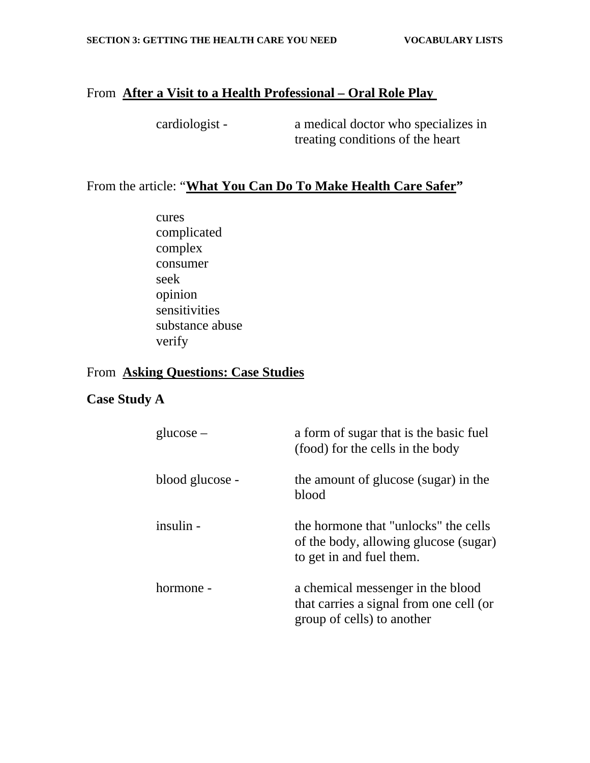### From **After a Visit to a Health Professional – Oral Role Play**

cardiologist - a medical doctor who specializes in treating conditions of the heart

### From the article: "**What You Can Do To Make Health Care Safer"**

cures complicated complex consumer seek opinion sensitivities substance abuse verify

### From **Asking Questions: Case Studies**

### **Case Study A**

| $glucose -$     | a form of sugar that is the basic fuel<br>(food) for the cells in the body                                 |
|-----------------|------------------------------------------------------------------------------------------------------------|
| blood glucose - | the amount of glucose (sugar) in the<br>blood                                                              |
| insulin -       | the hormone that "unlocks" the cells<br>of the body, allowing glucose (sugar)<br>to get in and fuel them.  |
| hormone -       | a chemical messenger in the blood<br>that carries a signal from one cell (or<br>group of cells) to another |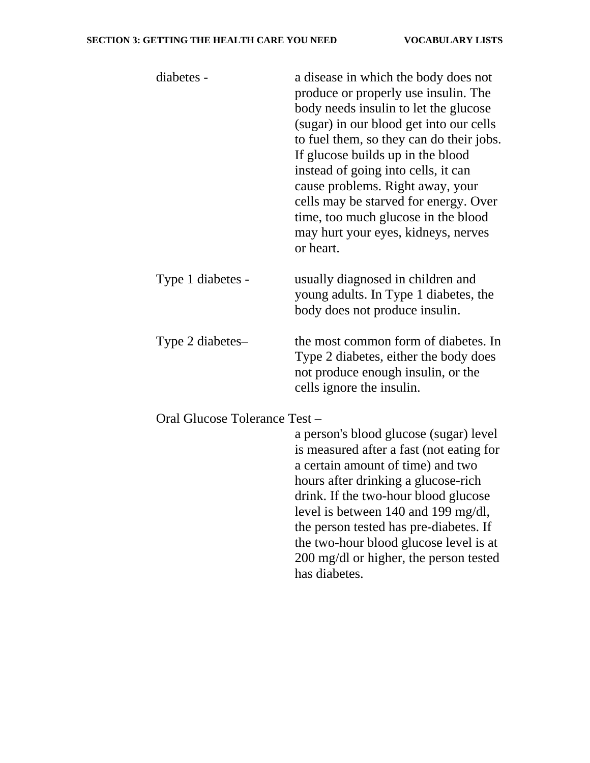#### **SECTION 3: GETTING THE HEALTH CARE YOU NEED VOCABULARY LISTS**

| diabetes -                    | a disease in which the body does not<br>produce or properly use insulin. The<br>body needs insulin to let the glucose<br>(sugar) in our blood get into our cells<br>to fuel them, so they can do their jobs.<br>If glucose builds up in the blood<br>instead of going into cells, it can<br>cause problems. Right away, your<br>cells may be starved for energy. Over<br>time, too much glucose in the blood<br>may hurt your eyes, kidneys, nerves<br>or heart. |  |
|-------------------------------|------------------------------------------------------------------------------------------------------------------------------------------------------------------------------------------------------------------------------------------------------------------------------------------------------------------------------------------------------------------------------------------------------------------------------------------------------------------|--|
| Type 1 diabetes -             | usually diagnosed in children and<br>young adults. In Type 1 diabetes, the<br>body does not produce insulin.                                                                                                                                                                                                                                                                                                                                                     |  |
| Type 2 diabetes-              | the most common form of diabetes. In<br>Type 2 diabetes, either the body does<br>not produce enough insulin, or the<br>cells ignore the insulin.                                                                                                                                                                                                                                                                                                                 |  |
| Oral Glucose Tolerance Test - |                                                                                                                                                                                                                                                                                                                                                                                                                                                                  |  |
|                               | a person's blood glucose (sugar) level<br>is measured after a fast (not eating for<br>a certain amount of time) and two<br>hours after drinking a glucose-rich<br>drink. If the two-hour blood glucose<br>level is between 140 and 199 mg/dl,<br>the person tested has pre-diabetes. If<br>the two-hour blood glucose level is at<br>200 mg/dl or higher, the person tested<br>has diabetes.                                                                     |  |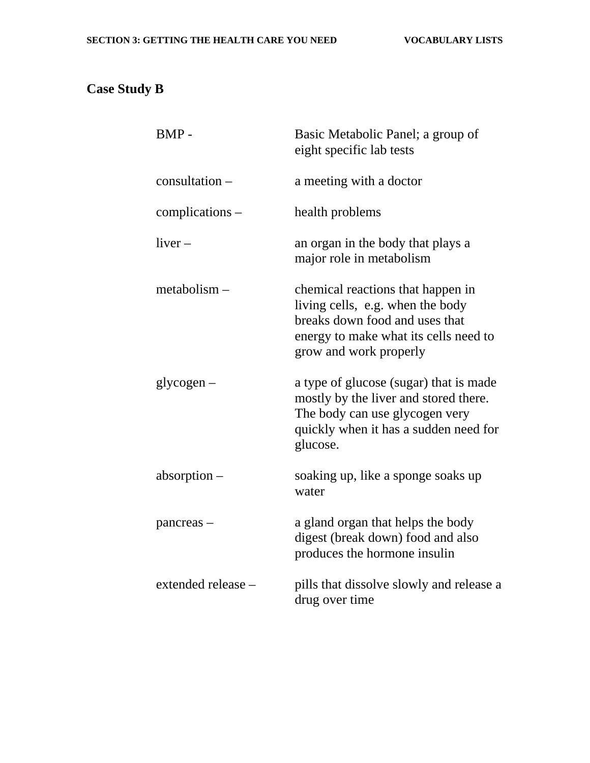# **Case Study B**

| BMP-               | Basic Metabolic Panel; a group of<br>eight specific lab tests                                                                                                              |
|--------------------|----------------------------------------------------------------------------------------------------------------------------------------------------------------------------|
| consultation -     | a meeting with a doctor                                                                                                                                                    |
| complications –    | health problems                                                                                                                                                            |
| $liver-$           | an organ in the body that plays a<br>major role in metabolism                                                                                                              |
| metabolism –       | chemical reactions that happen in<br>living cells, e.g. when the body<br>breaks down food and uses that<br>energy to make what its cells need to<br>grow and work properly |
| $glycogen-$        | a type of glucose (sugar) that is made<br>mostly by the liver and stored there.<br>The body can use glycogen very<br>quickly when it has a sudden need for<br>glucose.     |
| absorption –       | soaking up, like a sponge soaks up<br>water                                                                                                                                |
| pancreas –         | a gland organ that helps the body<br>digest (break down) food and also<br>produces the hormone insulin                                                                     |
| extended release - | pills that dissolve slowly and release a<br>drug over time                                                                                                                 |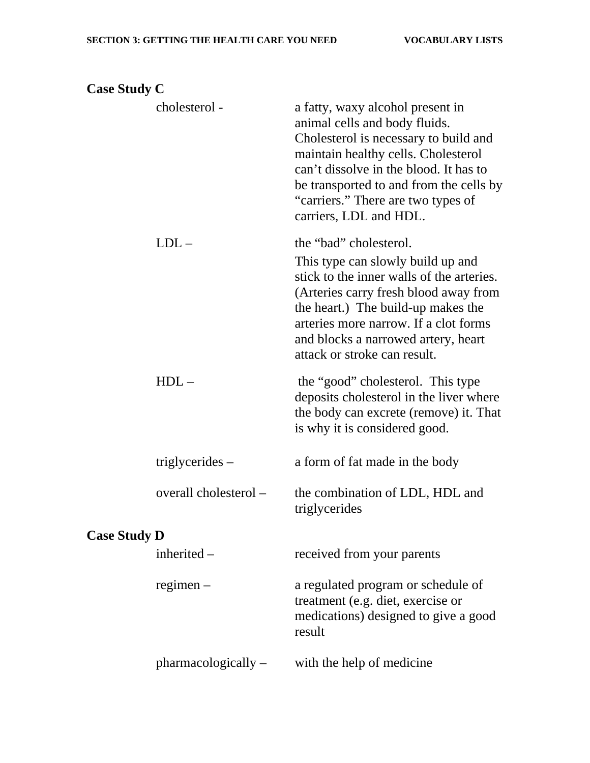## **Case Study C**

|                     | cholesterol -         | a fatty, waxy alcohol present in<br>animal cells and body fluids.<br>Cholesterol is necessary to build and<br>maintain healthy cells. Cholesterol<br>can't dissolve in the blood. It has to<br>be transported to and from the cells by<br>"carriers." There are two types of<br>carriers, LDL and HDL.  |  |  |
|---------------------|-----------------------|---------------------------------------------------------------------------------------------------------------------------------------------------------------------------------------------------------------------------------------------------------------------------------------------------------|--|--|
|                     | $LDL -$               | the "bad" cholesterol.<br>This type can slowly build up and<br>stick to the inner walls of the arteries.<br>(Arteries carry fresh blood away from<br>the heart.) The build-up makes the<br>arteries more narrow. If a clot forms<br>and blocks a narrowed artery, heart<br>attack or stroke can result. |  |  |
|                     | $HDL-$                | the "good" cholesterol. This type<br>deposits cholesterol in the liver where<br>the body can excrete (remove) it. That<br>is why it is considered good.                                                                                                                                                 |  |  |
|                     | triglycerides $-$     | a form of fat made in the body                                                                                                                                                                                                                                                                          |  |  |
|                     | overall cholesterol - | the combination of LDL, HDL and<br>triglycerides                                                                                                                                                                                                                                                        |  |  |
| <b>Case Study D</b> |                       |                                                                                                                                                                                                                                                                                                         |  |  |
|                     | inherited $-$         | received from your parents                                                                                                                                                                                                                                                                              |  |  |
|                     | $regimen -$           | a regulated program or schedule of<br>treatment (e.g. diet, exercise or<br>medications) designed to give a good<br>result                                                                                                                                                                               |  |  |
|                     | $pharmacologically -$ | with the help of medicine                                                                                                                                                                                                                                                                               |  |  |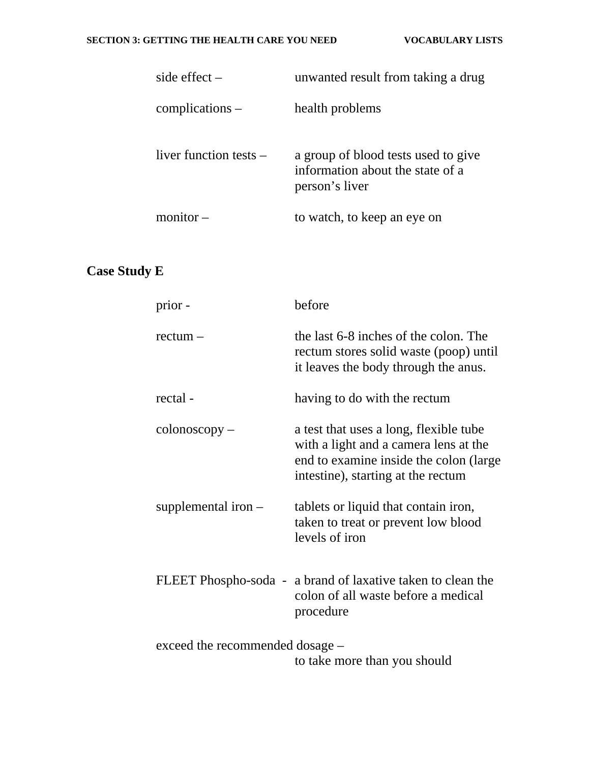| side effect $-$          | unwanted result from taking a drug                                                        |
|--------------------------|-------------------------------------------------------------------------------------------|
| complications –          | health problems                                                                           |
| liver function tests $-$ | a group of blood tests used to give<br>information about the state of a<br>person's liver |
| $monitor -$              | to watch, to keep an eye on                                                               |

# **Case Study E**

| prior -                         | before                                                                                                                                                           |
|---------------------------------|------------------------------------------------------------------------------------------------------------------------------------------------------------------|
| $rectum -$                      | the last 6-8 inches of the colon. The<br>rectum stores solid waste (poop) until<br>it leaves the body through the anus.                                          |
| rectal -                        | having to do with the rectum                                                                                                                                     |
| $\text{colonoscopy}-$           | a test that uses a long, flexible tube<br>with a light and a camera lens at the<br>end to examine inside the colon (large)<br>intestine), starting at the rectum |
| supplemental iron $-$           | tablets or liquid that contain iron,<br>taken to treat or prevent low blood<br>levels of iron                                                                    |
|                                 | FLEET Phospho-soda - a brand of laxative taken to clean the<br>colon of all waste before a medical<br>procedure                                                  |
| exceed the recommended dosage – | to take more than you should                                                                                                                                     |